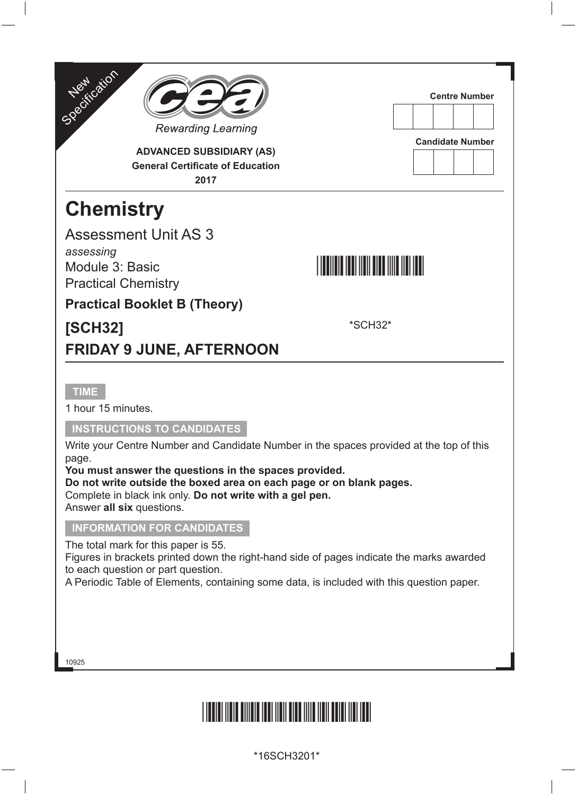



**ADVANCED SUBSIDIARY (AS) General Certificate of Education 2017**

# **Chemistry**

Assessment Unit AS 3 *assessing*

Module 3: Basic Practical Chemistry

### \*SCH32\*

**Centre Number**

**Candidate Number**

**Practical Booklet B (Theory)**

### **[SCH32]**

\*SCH32\*

### **FRIDAY 9 JUNE, AFTERNOON**

#### **TIME**

1 hour 15 minutes.

#### **INSTRUCTIONS TO CANDIDATES**

Write your Centre Number and Candidate Number in the spaces provided at the top of this page.

**You must answer the questions in the spaces provided.**

**Do not write outside the boxed area on each page or on blank pages.** Complete in black ink only. **Do not write with a gel pen.**

Answer **all six** questions.

#### **INFORMATION FOR CANDIDATES**

The total mark for this paper is 55.

Figures in brackets printed down the right-hand side of pages indicate the marks awarded to each question or part question.

A Periodic Table of Elements, containing some data, is included with this question paper.

10925

# \*16SCH3201\*

\*16SCH3201\*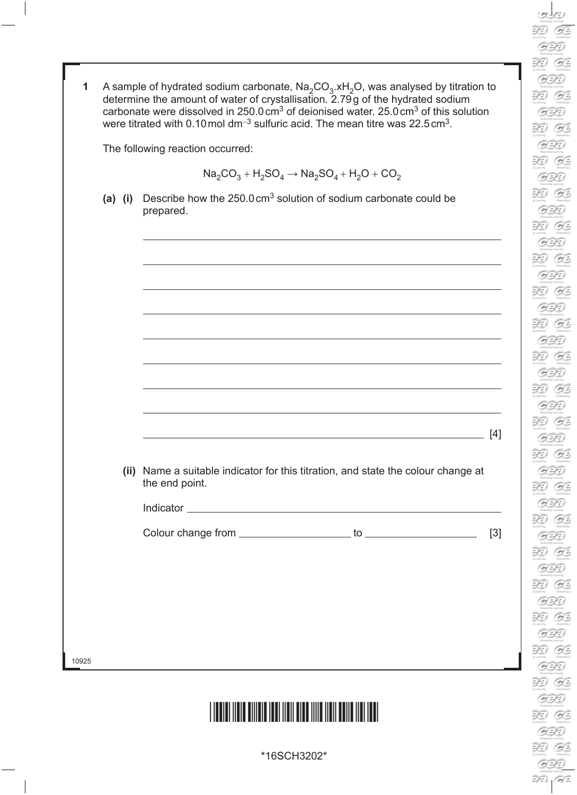| The following reaction occurred: |  |                                                                                                     |       |  |
|----------------------------------|--|-----------------------------------------------------------------------------------------------------|-------|--|
|                                  |  | $Na_2CO_3 + H_2SO_4 \rightarrow Na_2SO_4 + H_2O + CO_2$                                             |       |  |
| $(a)$ $(i)$                      |  | Describe how the $250.0 \text{ cm}^3$ solution of sodium carbonate could be<br>prepared.            |       |  |
|                                  |  |                                                                                                     |       |  |
|                                  |  |                                                                                                     |       |  |
|                                  |  |                                                                                                     |       |  |
|                                  |  |                                                                                                     |       |  |
|                                  |  |                                                                                                     | [4]   |  |
|                                  |  | (ii) Name a suitable indicator for this titration, and state the colour change at<br>the end point. |       |  |
|                                  |  |                                                                                                     |       |  |
|                                  |  |                                                                                                     | $[3]$ |  |
|                                  |  |                                                                                                     |       |  |
|                                  |  |                                                                                                     |       |  |
|                                  |  |                                                                                                     |       |  |

\*16SCH3202\*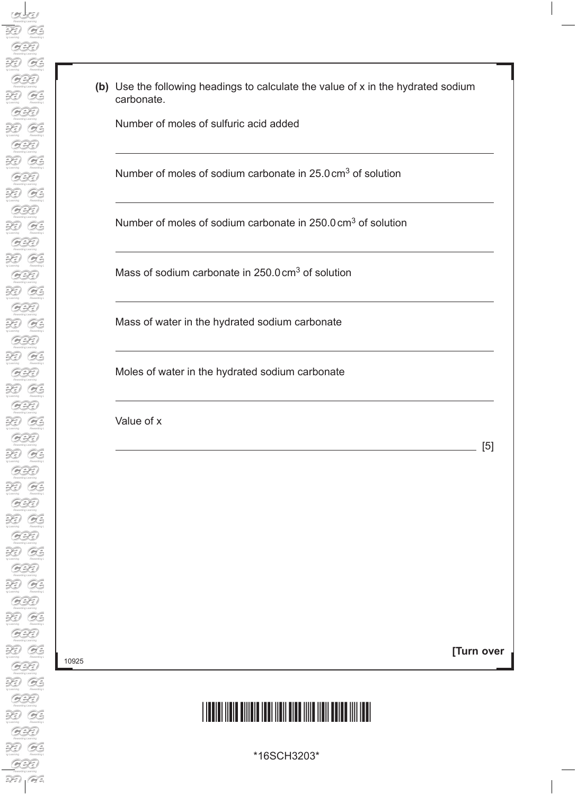**(b)** Use the following headings to calculate the value of x in the hydrated sodium carbonate.

Number of moles of sulfuric acid added

Number of moles of sodium carbonate in 25.0cm3 of solution

Number of moles of sodium carbonate in 250.0 cm<sup>3</sup> of solution

Mass of sodium carbonate in 250.0 cm<sup>3</sup> of solution

Mass of water in the hydrated sodium carbonate

Moles of water in the hydrated sodium carbonate

Value of x

10925

**[Turn over**

<u>[5]</u> [5]

### \*16SCH3203\*

\*16SCH3203\*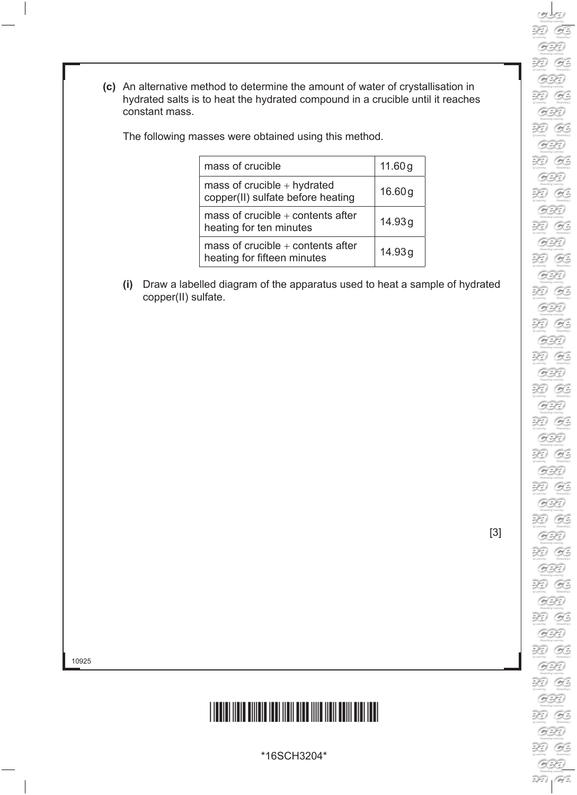**(c)** An alternative method to determine the amount of water of crystallisation in hydrated salts is to heat the hydrated compound in a crucible until it reaches constant mass.

The following masses were obtained using this method.

| mass of crucible                                                   | 11.60g |
|--------------------------------------------------------------------|--------|
| mass of crucible $+$ hydrated<br>copper(II) sulfate before heating | 16.60g |
| mass of crucible $+$ contents after<br>heating for ten minutes     | 14.93g |
| mass of crucible $+$ contents after<br>heating for fifteen minutes | 14.93g |

**(i)** Draw a labelled diagram of the apparatus used to heat a sample of hydrated copper(II) sulfate.

[3]

10925



\*16SCH3204\*

B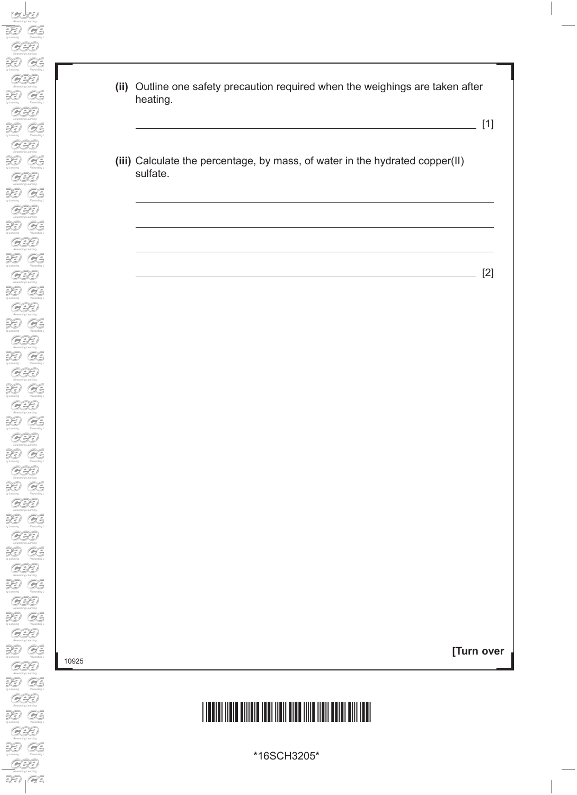**(ii)** Outline one safety precaution required when the weighings are taken after heating.

[1]

**(iii)** Calculate the percentage, by mass, of water in the hydrated copper(II) sulfate.

[2]

10925

**[Turn over**

### \*16SCH3205\*

\*16SCH3205\*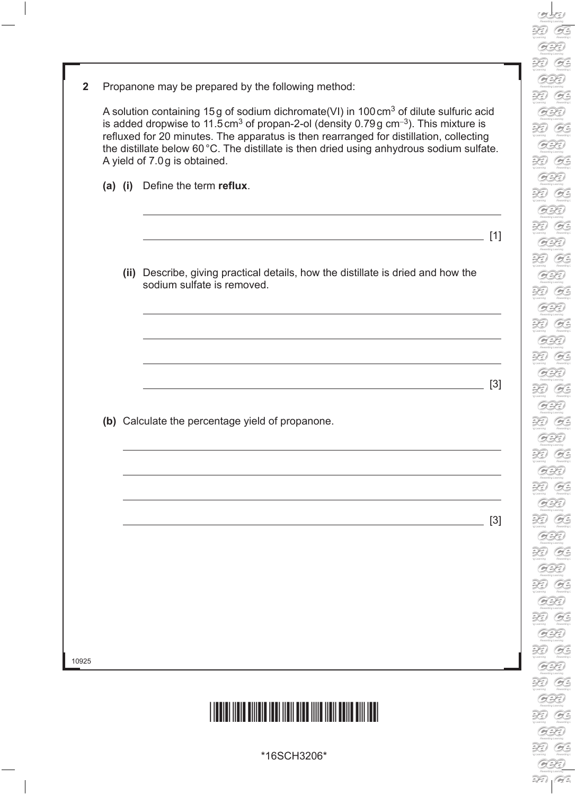| l<br>i e N<br>ij   |
|--------------------|
|                    |
|                    |
|                    |
|                    |
| Q                  |
|                    |
| Ē<br>J             |
|                    |
| Q                  |
|                    |
| $\mathbb{R}$       |
|                    |
| Q<br>d             |
|                    |
| $\tilde{z}$        |
|                    |
| Q                  |
|                    |
| $\supseteq$        |
|                    |
| Ó                  |
|                    |
| $\supsetneq$       |
|                    |
| ¢                  |
|                    |
| $\mathbb{R}$       |
|                    |
| Q                  |
|                    |
| Ē<br>ļ             |
|                    |
|                    |
| Q                  |
| )<br>I)            |
| Ē                  |
|                    |
| Q                  |
|                    |
| Ē<br>)             |
|                    |
| Q                  |
| $\mathbb{R}$       |
| Ì)                 |
|                    |
|                    |
| l<br>۸             |
|                    |
| $\supseteq$<br>)   |
|                    |
| Q                  |
|                    |
|                    |
| $\supsetneq$       |
| ¢                  |
|                    |
|                    |
| R                  |
| Q                  |
|                    |
| ≀<br>ļ             |
| $\Rightarrow$      |
|                    |
| Q                  |
|                    |
| I 4 LN<br>ÿ        |
|                    |
| ¢                  |
|                    |
| $\mathbb{R}$       |
|                    |
| V<br>Q             |
|                    |
| $\mathbb{R}$       |
|                    |
| ۳<br>Q             |
|                    |
| $\supsetneq$<br>j) |
|                    |
| Q                  |
|                    |
|                    |
| $\supsetneq$       |
| l                  |
|                    |
| j)                 |
| $\mathbb{R}$       |
| G                  |
| Q                  |
| )                  |
| $\mathbb{R}$       |

39

| $\mathbf{2}$ | Propanone may be prepared by the following method: |  |  |  |
|--------------|----------------------------------------------------|--|--|--|
|--------------|----------------------------------------------------|--|--|--|

 A solution containing 15g of sodium dichromate(VI) in 100cm3 of dilute sulfuric acid is added dropwise to 11.5cm3 of propan-2-ol (density 0.79g cm<sup>−</sup>3). This mixture is refluxed for 20 minutes. The apparatus is then rearranged for distillation, collecting the distillate below 60°C. The distillate is then dried using anhydrous sodium sulfate. A yield of 7.0g is obtained.

**(a) (i)** Define the term **reflux**.

**(ii)** Describe, giving practical details, how the distillate is dried and how the sodium sulfate is removed.

**(b)** Calculate the percentage yield of propanone.

 $\sim$  [3]

 $[1]$ 

[3]

10925



\*16SCH3206\*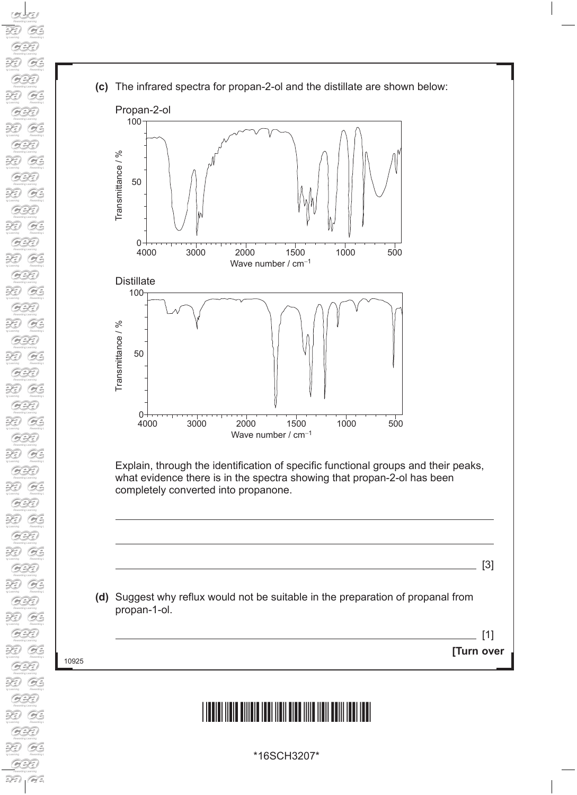'A = r Learning<br>Rewarding L<br>Rewarding<br>Rewarding Land<br>Rewarding Land The Learning<br>Rewarding L  $\sum_{\text{Rewarding}}$ <br>Rewarding L<br> $\sum_{\text{Rewarding}}$ The Learning The Transition of the Remarching Leading Leading Leading Leading Leading Leading Leading Leading Leading Leading Leading Leading Leading Leading Leading Leading Leading Leading Leading Leading Leading Leading Leading Leadi  $\overbrace{r}$ <br>  $\overbrace{r}$ <br>  $\overbrace{r}$ <br>  $\overbrace{r}$ <br>  $\overbrace{r}$ <br>  $\overbrace{r}$ <br>  $\overbrace{r}$ <br>  $\overbrace{r}$ <br>  $\overbrace{r}$ <br>  $\overbrace{r}$ <br>  $\overbrace{r}$ <br>  $\overbrace{r}$ r Learning<br>Rewarding L<br>Rewarding<br>Rewarding Land<br>Rewarding L Theaming<br>Rewarding L r Learning<br>Rewarding L<br>Rewarding<br>Rewarding L<br>Rewarding L **The Committee**<br>
Rewarding L<br> **Rewarding L** r Learning<br>Rowarding L<br>Rowarding<br>Rowarding L<br>Rowarding L  $\sum_{\text{1} \text{ 6}}$ <br> $\sum_{\text{1} \text{ 6}}$ <br> $\sum_{\text{1} \text{ 6}}$ <br> $\sum_{\text{1} \text{ 6}}$ The Learning 10925  $\overbrace{G}$ <br>Rewarding L

**Alles De Comming**<br>Rewarding L

**(c)** The infrared spectra for propan-2-ol and the distillate are shown below:



### <u>\*16SCH3207\*16SCH3207\*16SCH3207\*16SCH3207</u>

**[Turn over**

 $\sqrt{11}$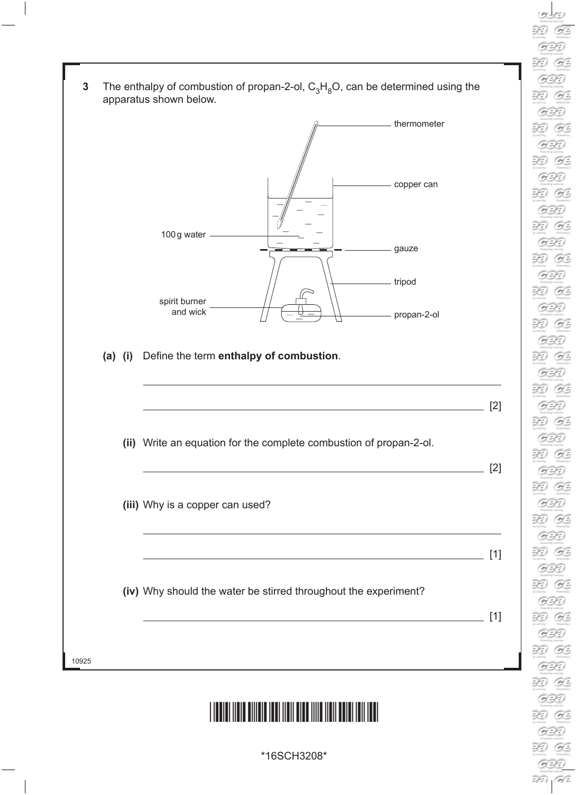| 3     |           | The enthalpy of combustion of propan-2-ol, $C_3H_8O$ , can be determined using the<br>apparatus shown below.                     |       |  |  |
|-------|-----------|----------------------------------------------------------------------------------------------------------------------------------|-------|--|--|
|       |           | thermometer                                                                                                                      |       |  |  |
|       |           | copper can                                                                                                                       |       |  |  |
|       |           | 100g water<br>gauze                                                                                                              |       |  |  |
|       |           | tripod<br>spirit burner                                                                                                          |       |  |  |
|       |           | and wick<br>propan-2-ol                                                                                                          |       |  |  |
|       | $(a)$ (i) | Define the term enthalpy of combustion.                                                                                          |       |  |  |
|       |           |                                                                                                                                  | $[2]$ |  |  |
|       |           | (ii) Write an equation for the complete combustion of propan-2-ol.                                                               |       |  |  |
|       |           | (iii) Why is a copper can used?                                                                                                  | $[2]$ |  |  |
|       |           |                                                                                                                                  |       |  |  |
|       |           | (iv) Why should the water be stirred throughout the experiment?<br><u> 1980 - Johann Barn, mars an t-Amerikaansk politiker (</u> | [1]   |  |  |
| 10925 |           |                                                                                                                                  |       |  |  |
|       |           |                                                                                                                                  |       |  |  |

\*16SCH3208\*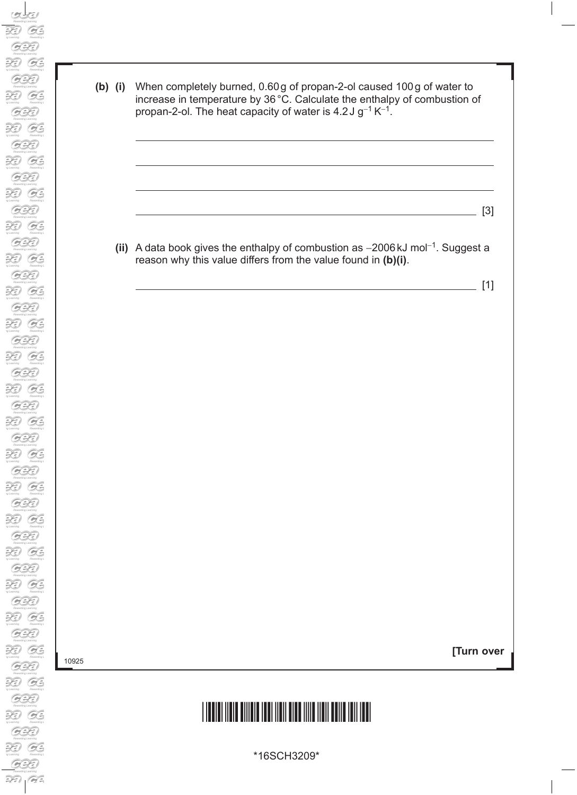10925

**(b) (i)** When completely burned, 0.60g of propan-2-ol caused 100g of water to increase in temperature by 36°C. Calculate the enthalpy of combustion of propan-2-ol. The heat capacity of water is 4.2J  $g^{-1} K^{-1}$ .

**(ii)** A data book gives the enthalpy of combustion as −2006kJ mol<sup>−</sup>1. Suggest a reason why this value differs from the value found in **(b)(i)**.

 $\overline{\phantom{a}}$  [1]

 $\frac{1}{2}$  [3]

**[Turn over**

# \*16SCH3209\*

\*16SCH3209\*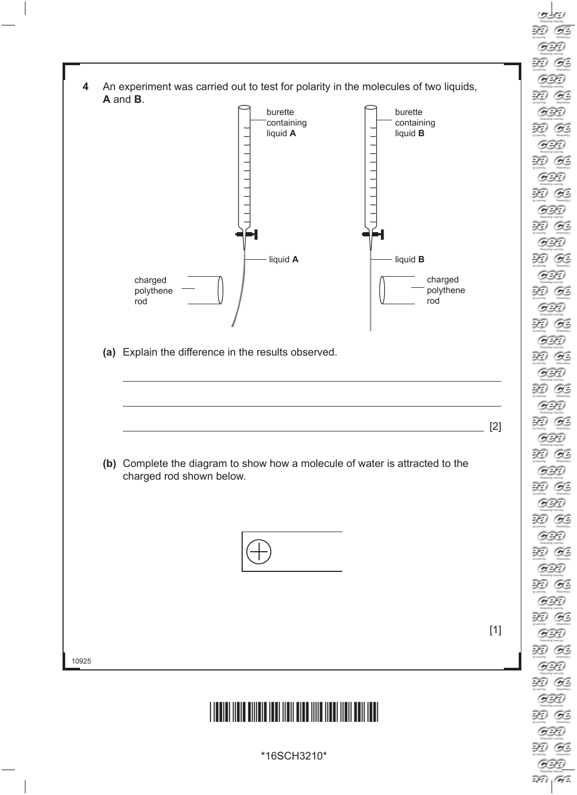**4** An experiment was carried out to test for polarity in the molecules of two liquids, **A** and **B**. burette burette **containing** containing liquid **A** liquid **B** ┕┪ 51  $\begin{array}{ccc} \hline \end{array}$  liquid **A**  $\begin{array}{ccc} \hline \end{array}$  liquid **B** charged charged polythene polythene rod rod **(a)** Explain the difference in the results observed.  $[2]$ **(b)** Complete the diagram to show how a molecule of water is attracted to the charged rod shown below. [1]10925 <u>\*16SCH3210\*16SCH3210\*16SCH3210\*16SCH3210\*16SCH3</u>

\*16SCH3210\*

 $\frac{1}{\sqrt{1+\frac{1}{2}}}\sum_{\substack{q \text{ is a unitary} \\ \text{Revariant}}}$ 

 $\widetilde{\mathcal{H}}$  $O$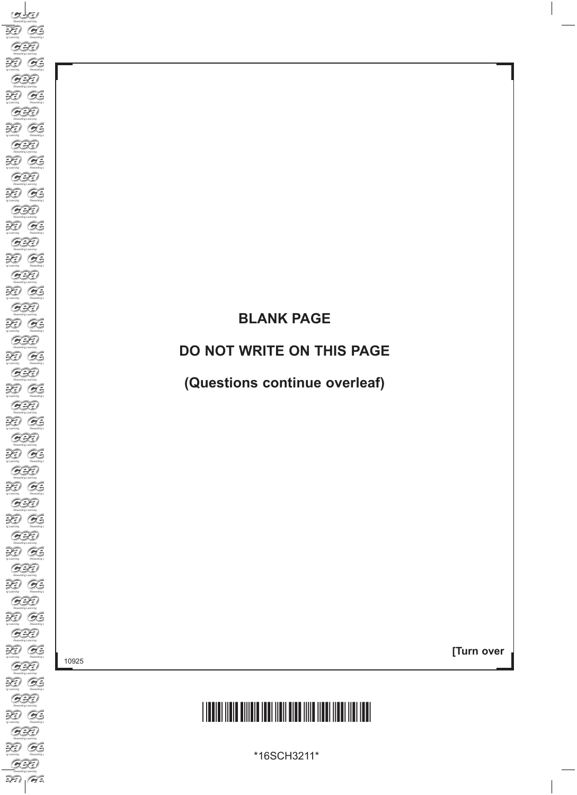### **BLANK PAGE**

#### **DO NOT WRITE ON THIS PAGE**

**(Questions continue overleaf)**

10925

**[Turn over**

# \*16SCH3211\*

\*16SCH3211\*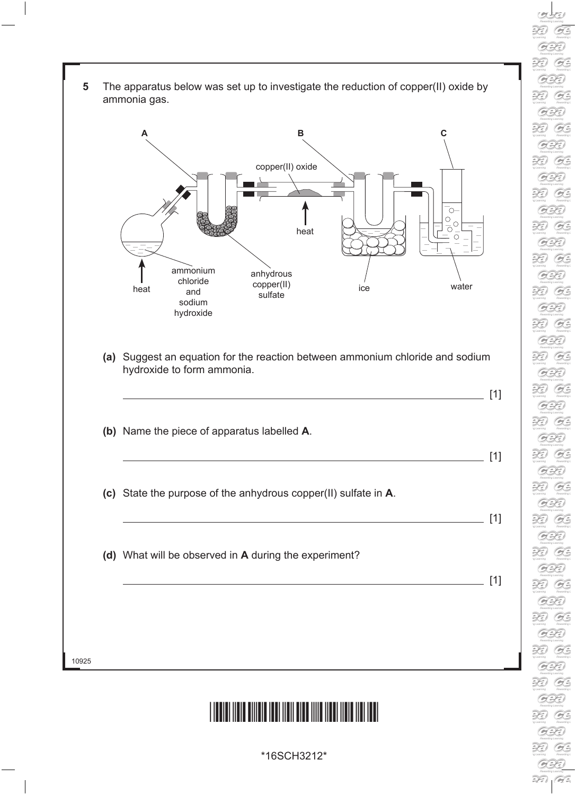- $\widetilde{\mathcal{H}}$  $\mathcal{O}$  $\sum_{y \text{ *learning*} }$  $O$  $\mathcal{L}$  $O$  $\overline{\mathscr{L}}$ G. R G. R. G. 39 G.  $\mathcal{L}$ G.  $\mathcal{Z}$ G.  $\mathcal{Z}$  $O$ R G. R G.  $\mathcal{Z}$ G. R G. R G.  $\widetilde{\mathcal{H}}$ G.  $\widetilde{H}$ **B** R **B** R  $O$ R  $O$  $\mathcal{Z}$  $O$ R G.  $\sum_{y \text{ *learning*} }$  $O$
- **5** The apparatus below was set up to investigate the reduction of copper(II) oxide by ammonia gas.



- **(a)** Suggest an equation for the reaction between ammonium chloride and sodium hydroxide to form ammonia.
- 10925  $[1]$ **(b)** Name the piece of apparatus labelled **A**.  $\overline{\phantom{0}}$  [1] **(c)** State the purpose of the anhydrous copper(II) sulfate in **A**.  $[1]$ **(d)** What will be observed in **A** during the experiment?  $\overline{\phantom{0}}$  [1]

### <u>\*16 SCH3212 116 SCH3212 116 SCH</u>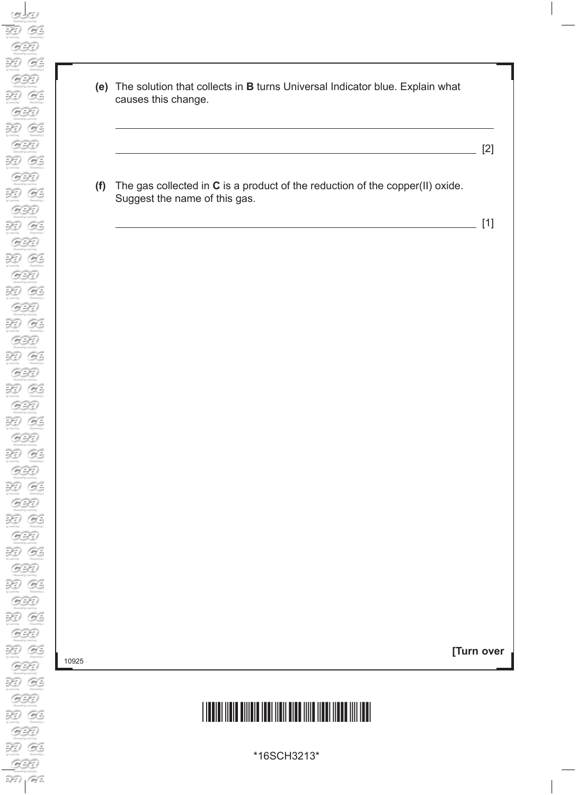- **(e)** The solution that collects in **B** turns Universal Indicator blue. Explain what causes this change.
	- [2]
- **(f)** The gas collected in **C** is a product of the reduction of the copper(II) oxide. Suggest the name of this gas.

 $\frac{1}{\sqrt{2}}$  [1]

10925

**[Turn over**

# \*16SCH3213\*

\*16SCH3213\*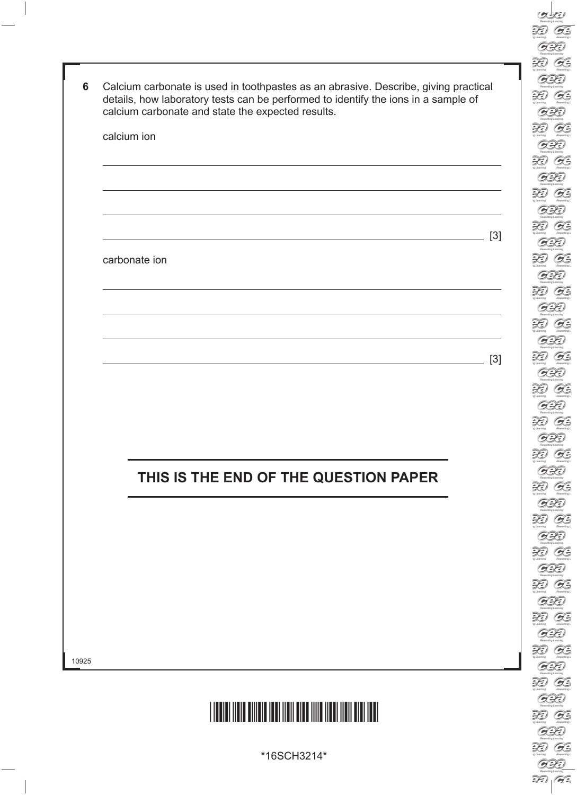| calcium ion                                                                               |       |
|-------------------------------------------------------------------------------------------|-------|
|                                                                                           |       |
|                                                                                           |       |
|                                                                                           |       |
|                                                                                           | $[3]$ |
| carbonate ion                                                                             |       |
|                                                                                           |       |
|                                                                                           |       |
|                                                                                           |       |
|                                                                                           |       |
| the control of the control of the control of the control of the control of the control of | $[3]$ |
|                                                                                           |       |
|                                                                                           |       |
|                                                                                           |       |
|                                                                                           |       |
|                                                                                           |       |
| THIS IS THE END OF THE QUESTION PAPER                                                     |       |
|                                                                                           |       |
|                                                                                           |       |
|                                                                                           |       |
|                                                                                           |       |
|                                                                                           |       |
|                                                                                           |       |
|                                                                                           |       |



\*16SCH3214\*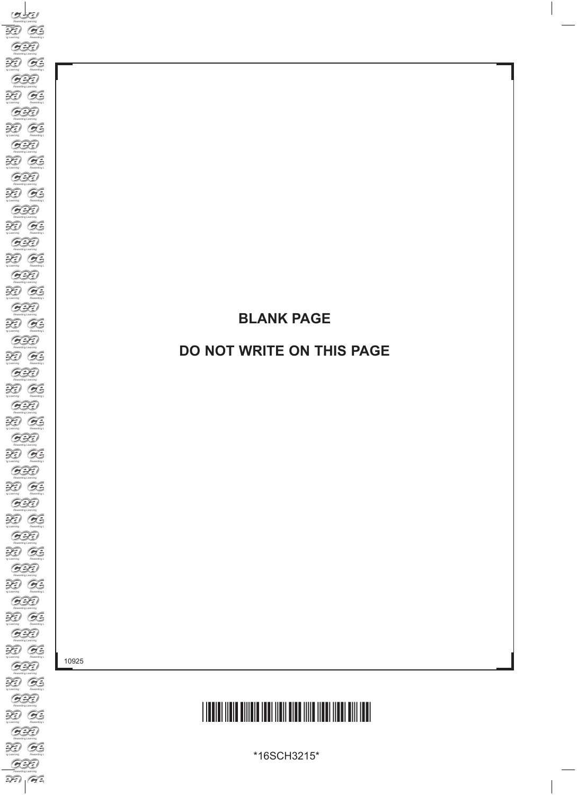### **BLANK PAGE**

### **DO NOT WRITE ON THIS PAGE**

10925

# \*16SCH3215\*

\*16SCH3215\*